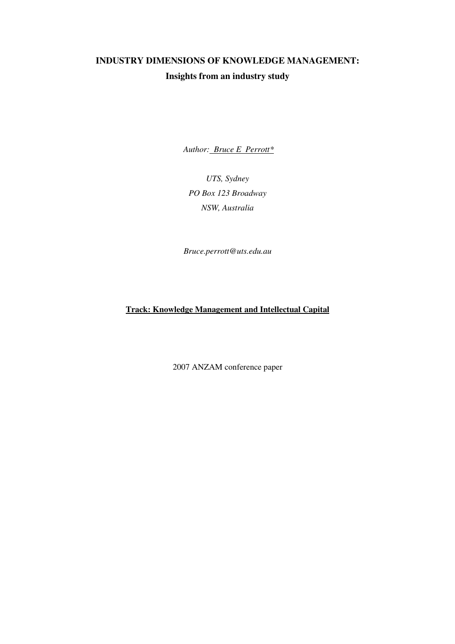# **INDUSTRY DIMENSIONS OF KNOWLEDGE MANAGEMENT: Insights from an industry study**

 *Author: Bruce E Perrott\**

*UTS, Sydney PO Box 123 Broadway NSW, Australia* 

*Bruce.perrott@uts.edu.au* 

# **Track: Knowledge Management and Intellectual Capital**

2007 ANZAM conference paper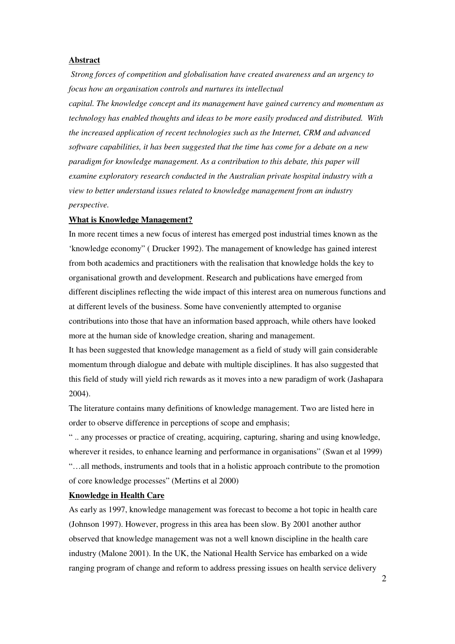### **Abstract**

 *Strong forces of competition and globalisation have created awareness and an urgency to focus how an organisation controls and nurtures its intellectual* 

*capital. The knowledge concept and its management have gained currency and momentum as technology has enabled thoughts and ideas to be more easily produced and distributed. With the increased application of recent technologies such as the Internet, CRM and advanced software capabilities, it has been suggested that the time has come for a debate on a new paradigm for knowledge management. As a contribution to this debate, this paper will examine exploratory research conducted in the Australian private hospital industry with a view to better understand issues related to knowledge management from an industry perspective.* 

#### **What is Knowledge Management?**

In more recent times a new focus of interest has emerged post industrial times known as the 'knowledge economy" ( Drucker 1992). The management of knowledge has gained interest from both academics and practitioners with the realisation that knowledge holds the key to organisational growth and development. Research and publications have emerged from different disciplines reflecting the wide impact of this interest area on numerous functions and at different levels of the business. Some have conveniently attempted to organise contributions into those that have an information based approach, while others have looked more at the human side of knowledge creation, sharing and management.

It has been suggested that knowledge management as a field of study will gain considerable momentum through dialogue and debate with multiple disciplines. It has also suggested that this field of study will yield rich rewards as it moves into a new paradigm of work (Jashapara 2004).

The literature contains many definitions of knowledge management. Two are listed here in order to observe difference in perceptions of scope and emphasis;

" .. any processes or practice of creating, acquiring, capturing, sharing and using knowledge, wherever it resides, to enhance learning and performance in organisations" (Swan et al 1999) "…all methods, instruments and tools that in a holistic approach contribute to the promotion of core knowledge processes" (Mertins et al 2000)

## **Knowledge in Health Care**

As early as 1997, knowledge management was forecast to become a hot topic in health care (Johnson 1997). However, progress in this area has been slow. By 2001 another author observed that knowledge management was not a well known discipline in the health care industry (Malone 2001). In the UK, the National Health Service has embarked on a wide ranging program of change and reform to address pressing issues on health service delivery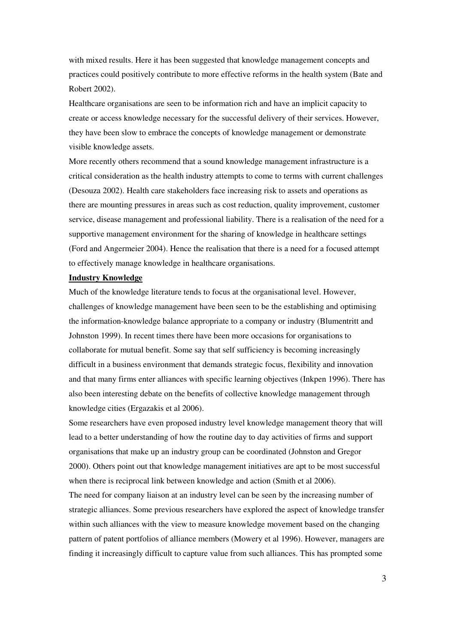with mixed results. Here it has been suggested that knowledge management concepts and practices could positively contribute to more effective reforms in the health system (Bate and Robert 2002).

Healthcare organisations are seen to be information rich and have an implicit capacity to create or access knowledge necessary for the successful delivery of their services. However, they have been slow to embrace the concepts of knowledge management or demonstrate visible knowledge assets.

More recently others recommend that a sound knowledge management infrastructure is a critical consideration as the health industry attempts to come to terms with current challenges (Desouza 2002). Health care stakeholders face increasing risk to assets and operations as there are mounting pressures in areas such as cost reduction, quality improvement, customer service, disease management and professional liability. There is a realisation of the need for a supportive management environment for the sharing of knowledge in healthcare settings (Ford and Angermeier 2004). Hence the realisation that there is a need for a focused attempt to effectively manage knowledge in healthcare organisations.

### **Industry Knowledge**

Much of the knowledge literature tends to focus at the organisational level. However, challenges of knowledge management have been seen to be the establishing and optimising the information-knowledge balance appropriate to a company or industry (Blumentritt and Johnston 1999). In recent times there have been more occasions for organisations to collaborate for mutual benefit. Some say that self sufficiency is becoming increasingly difficult in a business environment that demands strategic focus, flexibility and innovation and that many firms enter alliances with specific learning objectives (Inkpen 1996). There has also been interesting debate on the benefits of collective knowledge management through knowledge cities (Ergazakis et al 2006).

Some researchers have even proposed industry level knowledge management theory that will lead to a better understanding of how the routine day to day activities of firms and support organisations that make up an industry group can be coordinated (Johnston and Gregor 2000). Others point out that knowledge management initiatives are apt to be most successful when there is reciprocal link between knowledge and action (Smith et al 2006).

The need for company liaison at an industry level can be seen by the increasing number of strategic alliances. Some previous researchers have explored the aspect of knowledge transfer within such alliances with the view to measure knowledge movement based on the changing pattern of patent portfolios of alliance members (Mowery et al 1996). However, managers are finding it increasingly difficult to capture value from such alliances. This has prompted some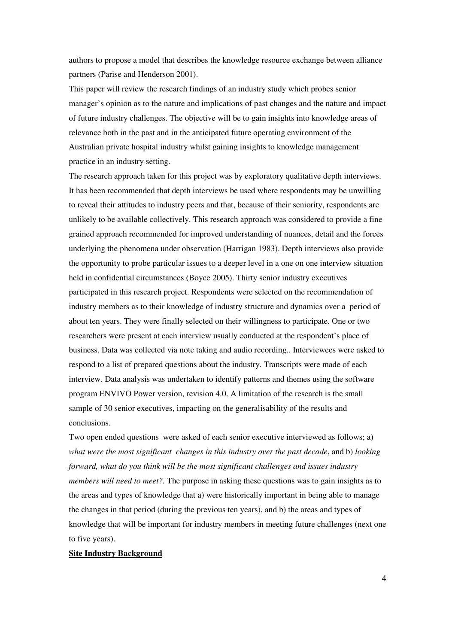authors to propose a model that describes the knowledge resource exchange between alliance partners (Parise and Henderson 2001).

This paper will review the research findings of an industry study which probes senior manager's opinion as to the nature and implications of past changes and the nature and impact of future industry challenges. The objective will be to gain insights into knowledge areas of relevance both in the past and in the anticipated future operating environment of the Australian private hospital industry whilst gaining insights to knowledge management practice in an industry setting.

The research approach taken for this project was by exploratory qualitative depth interviews. It has been recommended that depth interviews be used where respondents may be unwilling to reveal their attitudes to industry peers and that, because of their seniority, respondents are unlikely to be available collectively. This research approach was considered to provide a fine grained approach recommended for improved understanding of nuances, detail and the forces underlying the phenomena under observation (Harrigan 1983). Depth interviews also provide the opportunity to probe particular issues to a deeper level in a one on one interview situation held in confidential circumstances (Boyce 2005). Thirty senior industry executives participated in this research project. Respondents were selected on the recommendation of industry members as to their knowledge of industry structure and dynamics over a period of about ten years. They were finally selected on their willingness to participate. One or two researchers were present at each interview usually conducted at the respondent's place of business. Data was collected via note taking and audio recording.. Interviewees were asked to respond to a list of prepared questions about the industry. Transcripts were made of each interview. Data analysis was undertaken to identify patterns and themes using the software program ENVIVO Power version, revision 4.0. A limitation of the research is the small sample of 30 senior executives, impacting on the generalisability of the results and conclusions.

Two open ended questions were asked of each senior executive interviewed as follows; a) *what were the most significant changes in this industry over the past decade*, and b) *looking forward, what do you think will be the most significant challenges and issues industry members will need to meet?.* The purpose in asking these questions was to gain insights as to the areas and types of knowledge that a) were historically important in being able to manage the changes in that period (during the previous ten years), and b) the areas and types of knowledge that will be important for industry members in meeting future challenges (next one to five years).

#### **Site Industry Background**

4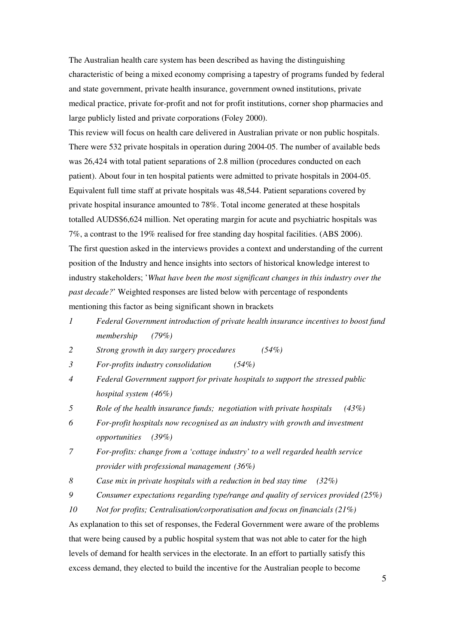The Australian health care system has been described as having the distinguishing characteristic of being a mixed economy comprising a tapestry of programs funded by federal and state government, private health insurance, government owned institutions, private medical practice, private for-profit and not for profit institutions, corner shop pharmacies and large publicly listed and private corporations (Foley 2000).

This review will focus on health care delivered in Australian private or non public hospitals. There were 532 private hospitals in operation during 2004-05. The number of available beds was 26,424 with total patient separations of 2.8 million (procedures conducted on each patient). About four in ten hospital patients were admitted to private hospitals in 2004-05. Equivalent full time staff at private hospitals was 48,544. Patient separations covered by private hospital insurance amounted to 78%. Total income generated at these hospitals totalled AUDS\$6,624 million. Net operating margin for acute and psychiatric hospitals was 7%, a contrast to the 19% realised for free standing day hospital facilities. (ABS 2006). The first question asked in the interviews provides a context and understanding of the current position of the Industry and hence insights into sectors of historical knowledge interest to industry stakeholders; '*What have been the most significant changes in this industry over the past decade?*' Weighted responses are listed below with percentage of respondents mentioning this factor as being significant shown in brackets

- *1 Federal Government introduction of private health insurance incentives to boost fund membership (79%)*
- *2 Strong growth in day surgery procedures (54%)*
- *3 For-profits industry consolidation (54%)*
- *4 Federal Government support for private hospitals to support the stressed public hospital system (46%)*
- *5 Role of the health insurance funds; negotiation with private hospitals (43%)*
- *6 For-profit hospitals now recognised as an industry with growth and investment opportunities (39%)*
- *7 For-profits: change from a 'cottage industry' to a well regarded health service provider with professional management (36%)*
- *8 Case mix in private hospitals with a reduction in bed stay time (32%)*
- *9 Consumer expectations regarding type/range and quality of services provided (25%)*
- *10 Not for profits; Centralisation/corporatisation and focus on financials (21%)*

As explanation to this set of responses, the Federal Government were aware of the problems that were being caused by a public hospital system that was not able to cater for the high levels of demand for health services in the electorate. In an effort to partially satisfy this excess demand, they elected to build the incentive for the Australian people to become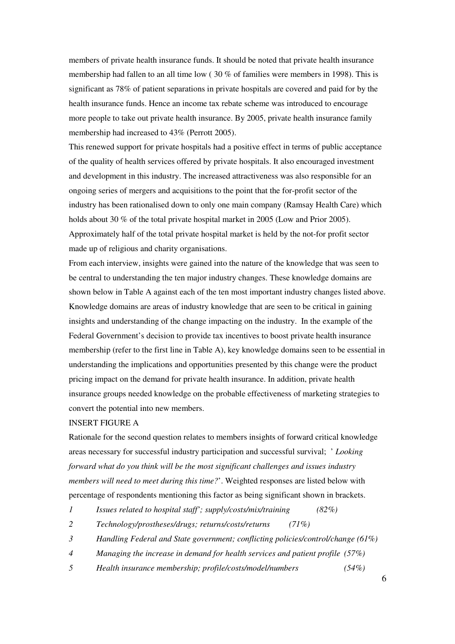members of private health insurance funds. It should be noted that private health insurance membership had fallen to an all time low ( 30 % of families were members in 1998). This is significant as 78% of patient separations in private hospitals are covered and paid for by the health insurance funds. Hence an income tax rebate scheme was introduced to encourage more people to take out private health insurance. By 2005, private health insurance family membership had increased to 43% (Perrott 2005).

This renewed support for private hospitals had a positive effect in terms of public acceptance of the quality of health services offered by private hospitals. It also encouraged investment and development in this industry. The increased attractiveness was also responsible for an ongoing series of mergers and acquisitions to the point that the for-profit sector of the industry has been rationalised down to only one main company (Ramsay Health Care) which holds about 30 % of the total private hospital market in 2005 (Low and Prior 2005). Approximately half of the total private hospital market is held by the not-for profit sector made up of religious and charity organisations.

From each interview, insights were gained into the nature of the knowledge that was seen to be central to understanding the ten major industry changes. These knowledge domains are shown below in Table A against each of the ten most important industry changes listed above. Knowledge domains are areas of industry knowledge that are seen to be critical in gaining insights and understanding of the change impacting on the industry. In the example of the Federal Government's decision to provide tax incentives to boost private health insurance membership (refer to the first line in Table A), key knowledge domains seen to be essential in understanding the implications and opportunities presented by this change were the product pricing impact on the demand for private health insurance. In addition, private health insurance groups needed knowledge on the probable effectiveness of marketing strategies to convert the potential into new members.

#### INSERT FIGURE A

Rationale for the second question relates to members insights of forward critical knowledge areas necessary for successful industry participation and successful survival; ' *Looking forward what do you think will be the most significant challenges and issues industry members will need to meet during this time?*'. Weighted responses are listed below with percentage of respondents mentioning this factor as being significant shown in brackets.

- *1 Issues related to hospital staff'; supply/costs/mix/training (82%)*
- *2 Technology/prostheses/drugs; returns/costs/returns (71%)*
- *3 Handling Federal and State government; conflicting policies/control/change (61%)*
- *4 Managing the increase in demand for health services and patient profile (57%)*
- *5 Health insurance membership; profile/costs/model/numbers (54%)*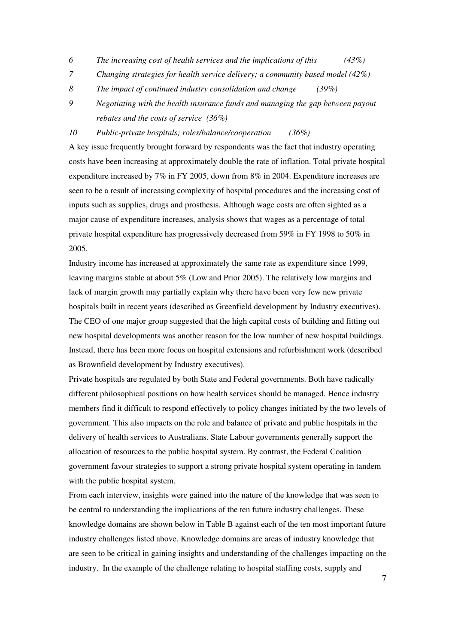- *6 The increasing cost of health services and the implications of this (43%)*
- *7 Changing strategies for health service delivery; a community based model (42%)*
- *8 The impact of continued industry consolidation and change (39%)*
- *9 Negotiating with the health insurance funds and managing the gap between payout rebates and the costs of service (36%)*
- *10 Public-private hospitals; roles/balance/cooperation (36%)*

A key issue frequently brought forward by respondents was the fact that industry operating costs have been increasing at approximately double the rate of inflation. Total private hospital expenditure increased by 7% in FY 2005, down from 8% in 2004. Expenditure increases are seen to be a result of increasing complexity of hospital procedures and the increasing cost of inputs such as supplies, drugs and prosthesis. Although wage costs are often sighted as a major cause of expenditure increases, analysis shows that wages as a percentage of total private hospital expenditure has progressively decreased from 59% in FY 1998 to 50% in 2005.

Industry income has increased at approximately the same rate as expenditure since 1999, leaving margins stable at about 5% (Low and Prior 2005). The relatively low margins and lack of margin growth may partially explain why there have been very few new private hospitals built in recent years (described as Greenfield development by Industry executives). The CEO of one major group suggested that the high capital costs of building and fitting out new hospital developments was another reason for the low number of new hospital buildings. Instead, there has been more focus on hospital extensions and refurbishment work (described as Brownfield development by Industry executives).

Private hospitals are regulated by both State and Federal governments. Both have radically different philosophical positions on how health services should be managed. Hence industry members find it difficult to respond effectively to policy changes initiated by the two levels of government. This also impacts on the role and balance of private and public hospitals in the delivery of health services to Australians. State Labour governments generally support the allocation of resources to the public hospital system. By contrast, the Federal Coalition government favour strategies to support a strong private hospital system operating in tandem with the public hospital system.

From each interview, insights were gained into the nature of the knowledge that was seen to be central to understanding the implications of the ten future industry challenges. These knowledge domains are shown below in Table B against each of the ten most important future industry challenges listed above. Knowledge domains are areas of industry knowledge that are seen to be critical in gaining insights and understanding of the challenges impacting on the industry. In the example of the challenge relating to hospital staffing costs, supply and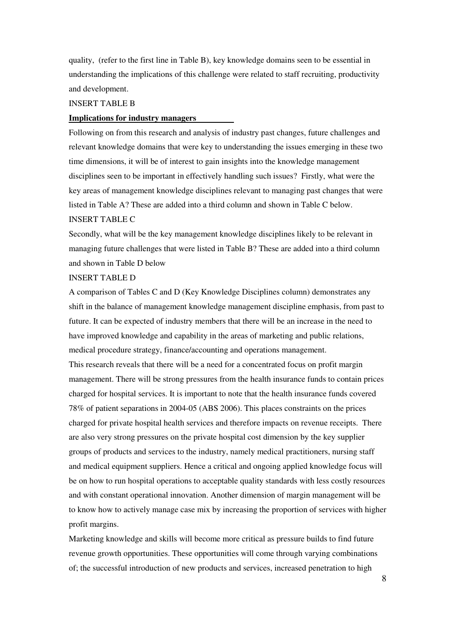quality, (refer to the first line in Table B), key knowledge domains seen to be essential in understanding the implications of this challenge were related to staff recruiting, productivity and development.

#### INSERT TABLE B

#### **Implications for industry managers**

Following on from this research and analysis of industry past changes, future challenges and relevant knowledge domains that were key to understanding the issues emerging in these two time dimensions, it will be of interest to gain insights into the knowledge management disciplines seen to be important in effectively handling such issues? Firstly, what were the key areas of management knowledge disciplines relevant to managing past changes that were listed in Table A? These are added into a third column and shown in Table C below. INSERT TABLE C

Secondly, what will be the key management knowledge disciplines likely to be relevant in managing future challenges that were listed in Table B? These are added into a third column and shown in Table D below

# INSERT TABLE D

A comparison of Tables C and D (Key Knowledge Disciplines column) demonstrates any shift in the balance of management knowledge management discipline emphasis, from past to future. It can be expected of industry members that there will be an increase in the need to have improved knowledge and capability in the areas of marketing and public relations, medical procedure strategy, finance/accounting and operations management.

This research reveals that there will be a need for a concentrated focus on profit margin management. There will be strong pressures from the health insurance funds to contain prices charged for hospital services. It is important to note that the health insurance funds covered 78% of patient separations in 2004-05 (ABS 2006). This places constraints on the prices charged for private hospital health services and therefore impacts on revenue receipts. There are also very strong pressures on the private hospital cost dimension by the key supplier groups of products and services to the industry, namely medical practitioners, nursing staff and medical equipment suppliers. Hence a critical and ongoing applied knowledge focus will be on how to run hospital operations to acceptable quality standards with less costly resources and with constant operational innovation. Another dimension of margin management will be to know how to actively manage case mix by increasing the proportion of services with higher profit margins.

Marketing knowledge and skills will become more critical as pressure builds to find future revenue growth opportunities. These opportunities will come through varying combinations of; the successful introduction of new products and services, increased penetration to high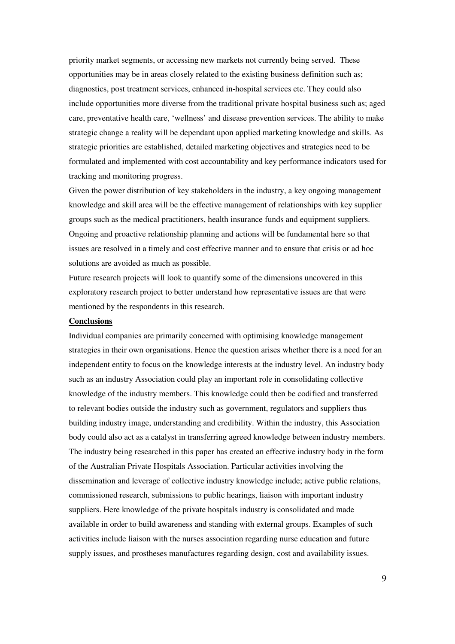priority market segments, or accessing new markets not currently being served. These opportunities may be in areas closely related to the existing business definition such as; diagnostics, post treatment services, enhanced in-hospital services etc. They could also include opportunities more diverse from the traditional private hospital business such as; aged care, preventative health care, 'wellness' and disease prevention services. The ability to make strategic change a reality will be dependant upon applied marketing knowledge and skills. As strategic priorities are established, detailed marketing objectives and strategies need to be formulated and implemented with cost accountability and key performance indicators used for tracking and monitoring progress.

Given the power distribution of key stakeholders in the industry, a key ongoing management knowledge and skill area will be the effective management of relationships with key supplier groups such as the medical practitioners, health insurance funds and equipment suppliers. Ongoing and proactive relationship planning and actions will be fundamental here so that issues are resolved in a timely and cost effective manner and to ensure that crisis or ad hoc solutions are avoided as much as possible.

Future research projects will look to quantify some of the dimensions uncovered in this exploratory research project to better understand how representative issues are that were mentioned by the respondents in this research.

# **Conclusions**

Individual companies are primarily concerned with optimising knowledge management strategies in their own organisations. Hence the question arises whether there is a need for an independent entity to focus on the knowledge interests at the industry level. An industry body such as an industry Association could play an important role in consolidating collective knowledge of the industry members. This knowledge could then be codified and transferred to relevant bodies outside the industry such as government, regulators and suppliers thus building industry image, understanding and credibility. Within the industry, this Association body could also act as a catalyst in transferring agreed knowledge between industry members. The industry being researched in this paper has created an effective industry body in the form of the Australian Private Hospitals Association. Particular activities involving the dissemination and leverage of collective industry knowledge include; active public relations, commissioned research, submissions to public hearings, liaison with important industry suppliers. Here knowledge of the private hospitals industry is consolidated and made available in order to build awareness and standing with external groups. Examples of such activities include liaison with the nurses association regarding nurse education and future supply issues, and prostheses manufactures regarding design, cost and availability issues.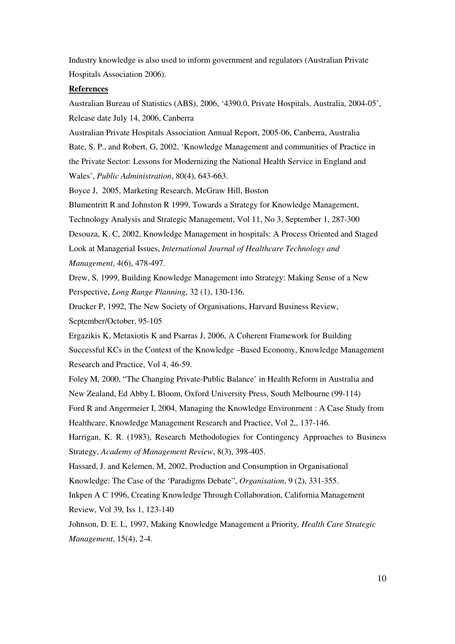Industry knowledge is also used to inform government and regulators (Australian Private Hospitals Association 2006).

#### **References**

Australian Bureau of Statistics (ABS), 2006, '4390.0, Private Hospitals, Australia, 2004-05', Release date July 14, 2006, Canberra

Australian Private Hospitals Association Annual Report, 2005-06, Canberra, Australia Bate, S. P., and Robert, G, 2002, 'Knowledge Management and communities of Practice in the Private Sector: Lessons for Modernizing the National Health Service in England and Wales', *Public Administration*, 80(4), 643-663.

Boyce J, 2005, Marketing Research, McGraw Hill, Boston

Blumentritt R and Johnston R 1999, Towards a Strategy for Knowledge Management,

Technology Analysis and Strategic Management, Vol 11, No 3, September 1, 287-300

Desouza, K. C, 2002, Knowledge Management in hospitals: A Process Oriented and Staged Look at Managerial Issues, *International Journal of Healthcare Technology and Management*, 4(6), 478-497.

Drew, S, 1999, Building Knowledge Management into Strategy: Making Sense of a New Perspective, *Long Range Planning*, 32 (1), 130-136.

Drucker P, 1992, The New Society of Organisations, Harvard Business Review, September/October, 95-105

Ergazikis K, Metaxiotis K and Psarras J, 2006, A Coherent Framework for Building Successful KCs in the Context of the Knowledge –Based Economy, Knowledge Management Research and Practice, Vol 4, 46-59.

Foley M, 2000, "The Changing Private-Public Balance' in Health Reform in Australia and New Zealand, Ed Abby L Bloom, Oxford University Press, South Melbourne (99-114)

Ford R and Angermeier I, 2004, Managing the Knowledge Environment : A Case Study from Healthcare, Knowledge Management Research and Practice, Vol 2,, 137-146.

Harrigan, K. R. (1983), Research Methodologies for Contingency Approaches to Business Strategy, *Academy of Management Review*, 8(3), 398-405.

Hassard, J. and Kelemen, M, 2002, Production and Consumption in Organisational

Knowledge: The Case of the 'Paradigms Debate", *Organisation*, 9 (2), 331-355.

Inkpen A C 1996, Creating Knowledge Through Collaboration, California Management Review, Vol 39, Iss 1, 123-140

Johnson, D. E. L, 1997, Making Knowledge Management a Priority*, Health Care Strategic Management*, 15(4), 2-4.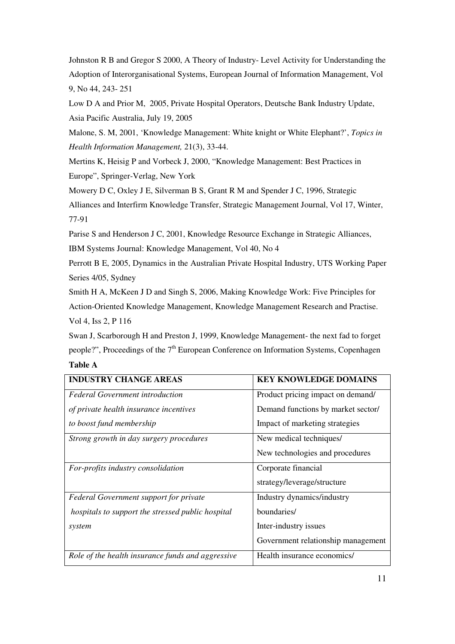Johnston R B and Gregor S 2000, A Theory of Industry- Level Activity for Understanding the Adoption of Interorganisational Systems, European Journal of Information Management, Vol 9, No 44, 243- 251

Low D A and Prior M, 2005, Private Hospital Operators, Deutsche Bank Industry Update, Asia Pacific Australia, July 19, 2005

Malone, S. M, 2001, 'Knowledge Management: White knight or White Elephant?', *Topics in Health Information Management,* 21(3), 33-44.

Mertins K, Heisig P and Vorbeck J, 2000, "Knowledge Management: Best Practices in Europe", Springer-Verlag, New York

Mowery D C, Oxley J E, Silverman B S, Grant R M and Spender J C, 1996, Strategic

Alliances and Interfirm Knowledge Transfer, Strategic Management Journal, Vol 17, Winter, 77-91

Parise S and Henderson J C, 2001, Knowledge Resource Exchange in Strategic Alliances, IBM Systems Journal: Knowledge Management, Vol 40, No 4

Perrott B E, 2005, Dynamics in the Australian Private Hospital Industry, UTS Working Paper Series 4/05, Sydney

Smith H A, McKeen J D and Singh S, 2006, Making Knowledge Work: Five Principles for Action-Oriented Knowledge Management, Knowledge Management Research and Practise. Vol 4, Iss 2, P 116

Swan J, Scarborough H and Preston J, 1999, Knowledge Management- the next fad to forget people?", Proceedings of the  $7<sup>th</sup>$  European Conference on Information Systems, Copenhagen

**Table A** 

| <b>INDUSTRY CHANGE AREAS</b>                      | <b>KEY KNOWLEDGE DOMAINS</b>       |
|---------------------------------------------------|------------------------------------|
| <b>Federal Government introduction</b>            | Product pricing impact on demand/  |
| of private health insurance incentives            | Demand functions by market sector/ |
| to boost fund membership                          | Impact of marketing strategies     |
| Strong growth in day surgery procedures           | New medical techniques/            |
|                                                   | New technologies and procedures    |
| For-profits industry consolidation                | Corporate financial                |
|                                                   | strategy/leverage/structure        |
| Federal Government support for private            | Industry dynamics/industry         |
| hospitals to support the stressed public hospital | boundaries/                        |
| system                                            | Inter-industry issues              |
|                                                   | Government relationship management |
| Role of the health insurance funds and aggressive | Health insurance economics/        |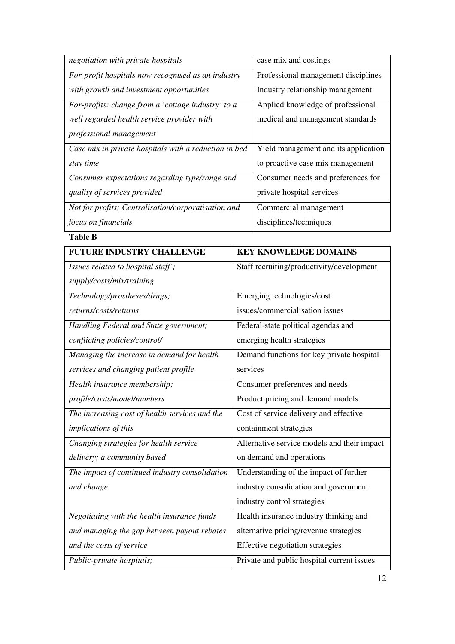| negotiation with private hospitals                    | case mix and costings                |  |
|-------------------------------------------------------|--------------------------------------|--|
| For-profit hospitals now recognised as an industry    | Professional management disciplines  |  |
| with growth and investment opportunities              | Industry relationship management     |  |
| For-profits: change from a 'cottage industry' to a    | Applied knowledge of professional    |  |
| well regarded health service provider with            | medical and management standards     |  |
| professional management                               |                                      |  |
| Case mix in private hospitals with a reduction in bed | Yield management and its application |  |
| stay time                                             | to proactive case mix management     |  |
| Consumer expectations regarding type/range and        | Consumer needs and preferences for   |  |
| quality of services provided                          | private hospital services            |  |
| Not for profits; Centralisation/corporatisation and   | Commercial management                |  |
| <i>focus on financials</i>                            | disciplines/techniques               |  |

# **Table B**

| <b>FUTURE INDUSTRY CHALLENGE</b>               | <b>KEY KNOWLEDGE DOMAINS</b>                |  |
|------------------------------------------------|---------------------------------------------|--|
| Issues related to hospital staff';             | Staff recruiting/productivity/development   |  |
| supply/costs/mix/training                      |                                             |  |
| Technology/prostheses/drugs;                   | Emerging technologies/cost                  |  |
| returns/costs/returns                          | issues/commercialisation issues             |  |
| Handling Federal and State government;         | Federal-state political agendas and         |  |
| conflicting policies/control/                  | emerging health strategies                  |  |
| Managing the increase in demand for health     | Demand functions for key private hospital   |  |
| services and changing patient profile          | services                                    |  |
| Health insurance membership;                   | Consumer preferences and needs              |  |
| profile/costs/model/numbers                    | Product pricing and demand models           |  |
| The increasing cost of health services and the | Cost of service delivery and effective      |  |
| implications of this                           | containment strategies                      |  |
| Changing strategies for health service         | Alternative service models and their impact |  |
| delivery; a community based                    | on demand and operations                    |  |
| The impact of continued industry consolidation | Understanding of the impact of further      |  |
| and change                                     | industry consolidation and government       |  |
|                                                | industry control strategies                 |  |
| Negotiating with the health insurance funds    | Health insurance industry thinking and      |  |
| and managing the gap between payout rebates    | alternative pricing/revenue strategies      |  |
| and the costs of service                       | Effective negotiation strategies            |  |
| Public-private hospitals;                      | Private and public hospital current issues  |  |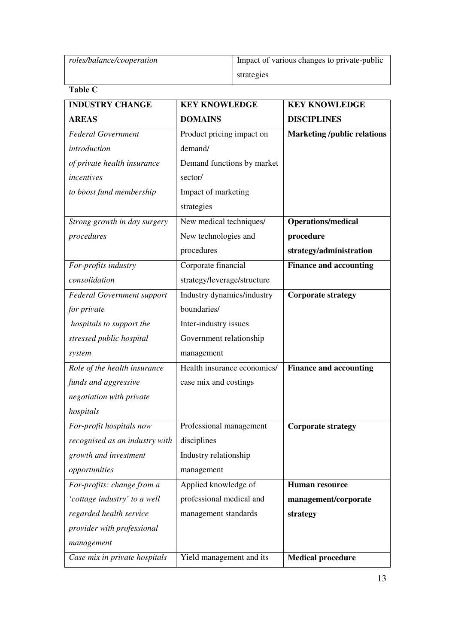| `able |  |
|-------|--|
|-------|--|

| <b>INDUSTRY CHANGE</b>            | <b>KEY KNOWLEDGE</b>        | <b>KEY KNOWLEDGE</b>              |
|-----------------------------------|-----------------------------|-----------------------------------|
| <b>AREAS</b>                      | <b>DOMAINS</b>              | <b>DISCIPLINES</b>                |
| <b>Federal Government</b>         | Product pricing impact on   | <b>Marketing/public relations</b> |
| introduction                      | demand/                     |                                   |
| of private health insurance       | Demand functions by market  |                                   |
| incentives                        | sector/                     |                                   |
| to boost fund membership          | Impact of marketing         |                                   |
|                                   | strategies                  |                                   |
| Strong growth in day surgery      | New medical techniques/     | <b>Operations/medical</b>         |
| procedures                        | New technologies and        | procedure                         |
|                                   | procedures                  | strategy/administration           |
| For-profits industry              | Corporate financial         | <b>Finance and accounting</b>     |
| consolidation                     | strategy/leverage/structure |                                   |
| <b>Federal Government support</b> | Industry dynamics/industry  | <b>Corporate strategy</b>         |
| for private                       | boundaries/                 |                                   |
| hospitals to support the          | Inter-industry issues       |                                   |
| stressed public hospital          | Government relationship     |                                   |
| system                            | management                  |                                   |
| Role of the health insurance      | Health insurance economics/ | <b>Finance and accounting</b>     |
| funds and aggressive              | case mix and costings       |                                   |
| negotiation with private          |                             |                                   |
| hospitals                         |                             |                                   |
| For-profit hospitals now          | Professional management     | <b>Corporate strategy</b>         |
| recognised as an industry with    | disciplines                 |                                   |
| growth and investment             | Industry relationship       |                                   |
| opportunities                     | management                  |                                   |
| For-profits: change from a        | Applied knowledge of        | Human resource                    |
| 'cottage industry' to a well      | professional medical and    | management/corporate              |
| regarded health service           | management standards        | strategy                          |
| provider with professional        |                             |                                   |
| management                        |                             |                                   |
| Case mix in private hospitals     | Yield management and its    | <b>Medical procedure</b>          |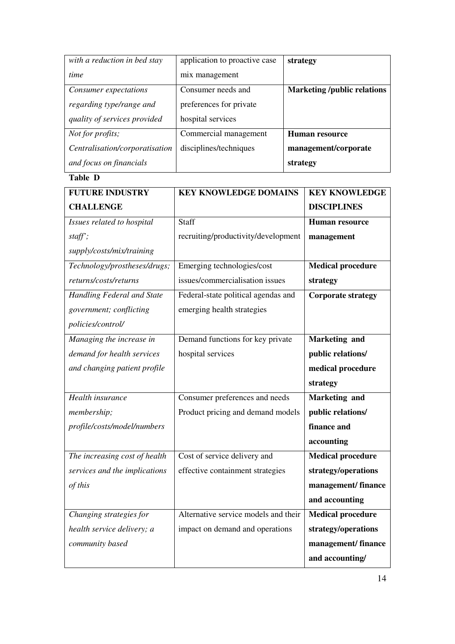| with a reduction in bed stay   | application to proactive case | strategy                          |
|--------------------------------|-------------------------------|-----------------------------------|
| time                           | mix management                |                                   |
| Consumer expectations          | Consumer needs and            | <b>Marketing/public relations</b> |
| regarding type/range and       | preferences for private       |                                   |
| quality of services provided   | hospital services             |                                   |
| <i>Not for profits;</i>        | Commercial management         | Human resource                    |
| Centralisation/corporatisation | disciplines/techniques        | management/corporate              |
| and focus on financials        |                               | strategy                          |

**Table D** 

| <b>FUTURE INDUSTRY</b>            | <b>KEY KNOWLEDGE DOMAINS</b>         | <b>KEY KNOWLEDGE</b>      |
|-----------------------------------|--------------------------------------|---------------------------|
| <b>CHALLENGE</b>                  |                                      | <b>DISCIPLINES</b>        |
| Issues related to hospital        | Staff                                | <b>Human resource</b>     |
| $staff$ ;                         | recruiting/productivity/development  | management                |
| supply/costs/mix/training         |                                      |                           |
| Technology/prostheses/drugs;      | Emerging technologies/cost           | <b>Medical procedure</b>  |
| returns/costs/returns             | issues/commercialisation issues      | strategy                  |
| <b>Handling Federal and State</b> | Federal-state political agendas and  | <b>Corporate strategy</b> |
| government; conflicting           | emerging health strategies           |                           |
| policies/control/                 |                                      |                           |
| Managing the increase in          | Demand functions for key private     | <b>Marketing and</b>      |
| demand for health services        | hospital services                    | public relations/         |
| and changing patient profile      |                                      | medical procedure         |
|                                   |                                      | strategy                  |
| Health insurance                  | Consumer preferences and needs       | Marketing and             |
| membership;                       | Product pricing and demand models    | public relations/         |
| profile/costs/model/numbers       |                                      | finance and               |
|                                   |                                      | accounting                |
| The increasing cost of health     | Cost of service delivery and         | <b>Medical procedure</b>  |
| services and the implications     | effective containment strategies     | strategy/operations       |
| of this                           |                                      | management/finance        |
|                                   |                                      | and accounting            |
| Changing strategies for           | Alternative service models and their | <b>Medical procedure</b>  |
| health service delivery; a        | impact on demand and operations      | strategy/operations       |
| community based                   |                                      | management/finance        |
|                                   |                                      | and accounting/           |